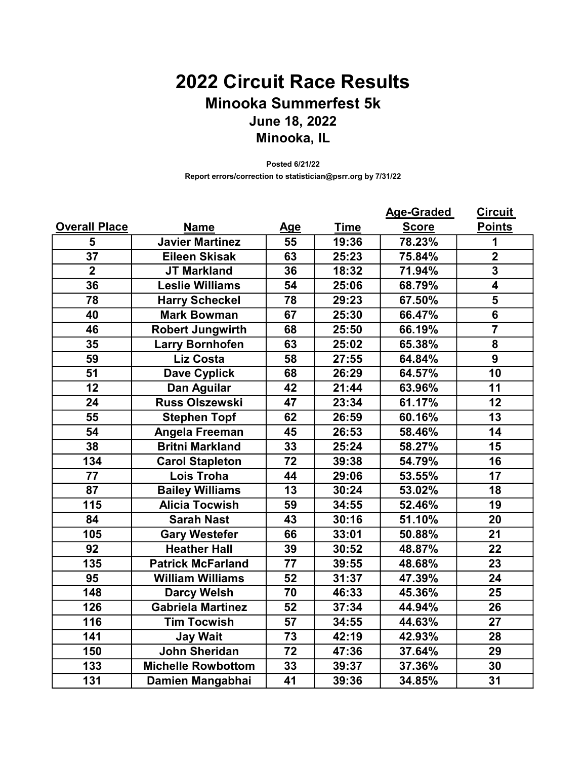## 2022 Circuit Race Results Minooka Summerfest 5k June 18, 2022 Minooka, IL

Posted 6/21/22 Report errors/correction to statistician@psrr.org by 7/31/22

|                      |                           |                 |             | <b>Age-Graded</b> | <b>Circuit</b>          |
|----------------------|---------------------------|-----------------|-------------|-------------------|-------------------------|
| <b>Overall Place</b> | <b>Name</b>               | <u>Age</u>      | <b>Time</b> | <b>Score</b>      | <b>Points</b>           |
| 5                    | <b>Javier Martinez</b>    | 55              | 19:36       | 78.23%            | 1                       |
| $\overline{37}$      | <b>Eileen Skisak</b>      | 63              | 25:23       | 75.84%            | $\overline{2}$          |
| $\overline{2}$       | <b>JT Markland</b>        | 36              | 18:32       | 71.94%            | $\overline{\mathbf{3}}$ |
| 36                   | <b>Leslie Williams</b>    | 54              | 25:06       | 68.79%            | $\overline{4}$          |
| 78                   | <b>Harry Scheckel</b>     | 78              | 29:23       | 67.50%            | 5                       |
| 40                   | <b>Mark Bowman</b>        | 67              | 25:30       | 66.47%            | $\overline{6}$          |
| 46                   | <b>Robert Jungwirth</b>   | 68              | 25:50       | 66.19%            | $\overline{\mathbf{7}}$ |
| 35                   | <b>Larry Bornhofen</b>    | 63              | 25:02       | 65.38%            | 8                       |
| 59                   | <b>Liz Costa</b>          | 58              | 27:55       | 64.84%            | 9                       |
| 51                   | <b>Dave Cyplick</b>       | 68              | 26:29       | 64.57%            | 10                      |
| 12                   | Dan Aguilar               | 42              | 21:44       | 63.96%            | 11                      |
| 24                   | <b>Russ Olszewski</b>     | 47              | 23:34       | 61.17%            | 12                      |
| 55                   | <b>Stephen Topf</b>       | 62              | 26:59       | 60.16%            | $\overline{13}$         |
| 54                   | Angela Freeman            | 45              | 26:53       | 58.46%            | 14                      |
| 38                   | <b>Britni Markland</b>    | 33              | 25:24       | 58.27%            | 15                      |
| 134                  | <b>Carol Stapleton</b>    | 72              | 39:38       | 54.79%            | 16                      |
| $\overline{77}$      | <b>Lois Troha</b>         | $\overline{44}$ | 29:06       | 53.55%            | $\overline{17}$         |
| 87                   | <b>Bailey Williams</b>    | 13              | 30:24       | 53.02%            | 18                      |
| 115                  | <b>Alicia Tocwish</b>     | 59              | 34:55       | 52.46%            | 19                      |
| 84                   | <b>Sarah Nast</b>         | 43              | 30:16       | 51.10%            | 20                      |
| 105                  | <b>Gary Westefer</b>      | 66              | 33:01       | 50.88%            | 21                      |
| 92                   | <b>Heather Hall</b>       | 39              | 30:52       | 48.87%            | 22                      |
| 135                  | <b>Patrick McFarland</b>  | 77              | 39:55       | 48.68%            | 23                      |
| 95                   | <b>William Williams</b>   | 52              | 31:37       | 47.39%            | 24                      |
| 148                  | <b>Darcy Welsh</b>        | 70              | 46:33       | 45.36%            | 25                      |
| 126                  | <b>Gabriela Martinez</b>  | 52              | 37:34       | 44.94%            | 26                      |
| 116                  | <b>Tim Tocwish</b>        | 57              | 34:55       | 44.63%            | 27                      |
| 141                  | <b>Jay Wait</b>           | $\overline{73}$ | 42:19       | 42.93%            | 28                      |
| 150                  | John Sheridan             | $\overline{72}$ | 47:36       | 37.64%            | 29                      |
| 133                  | <b>Michelle Rowbottom</b> | 33              | 39:37       | 37.36%            | 30                      |
| 131                  | Damien Mangabhai          | 41              | 39:36       | 34.85%            | 31                      |